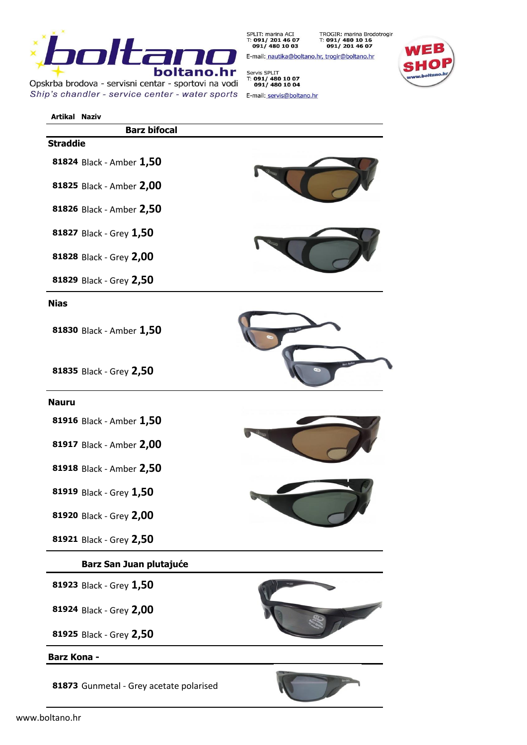

Opskrba brodova - servisni centar - sportovi na vodi Ship's chandler - service center - water sports E-mail: servis@boltano.hr

SPLIT: marina ACI<br>T: **091/ 201 46 07**<br>**091/ 480 10 03** TROGIR: marina Brodotrogir<br>T: 091/ 480 10 16<br>091/ 201 46 07

E-mail: nautika@boltano.hr, trogir@boltano.hr

Servis SPLIT<br>T: 091/ 480 10 07<br>091/ 480 10 04



| <b>Artikal Naziv</b> |                                         |  |
|----------------------|-----------------------------------------|--|
|                      | <b>Barz bifocal</b>                     |  |
| <b>Straddie</b>      |                                         |  |
|                      | 81824 Black - Amber 1,50                |  |
|                      | 81825 Black - Amber 2,00                |  |
|                      | 81826 Black - Amber 2,50                |  |
|                      | 81827 Black - Grey 1,50                 |  |
|                      | 81828 Black - Grey 2,00                 |  |
|                      | 81829 Black - Grey 2,50                 |  |
| <b>Nias</b>          |                                         |  |
|                      | 81830 Black - Amber 1,50                |  |
|                      | 81835 Black - Grey 2,50                 |  |
| <b>Nauru</b>         |                                         |  |
|                      | 81916 Black - Amber 1,50                |  |
|                      | 81917 Black - Amber 2,00                |  |
|                      | 81918 Black - Amber 2,50                |  |
|                      | 81919 Black - Grey 1,50                 |  |
|                      | 81920 Black - Grey 2,00                 |  |
|                      | 81921 Black - Grey 2,50                 |  |
|                      | Barz San Juan plutajuće                 |  |
|                      | 81923 Black - Grey 1,50                 |  |
|                      | 81924 Black - Grey 2,00                 |  |
|                      | 81925 Black - Grey 2,50                 |  |
| <b>Barz Kona -</b>   |                                         |  |
|                      |                                         |  |
|                      | 81873 Gunmetal - Grey acetate polarised |  |

www.boltano.hr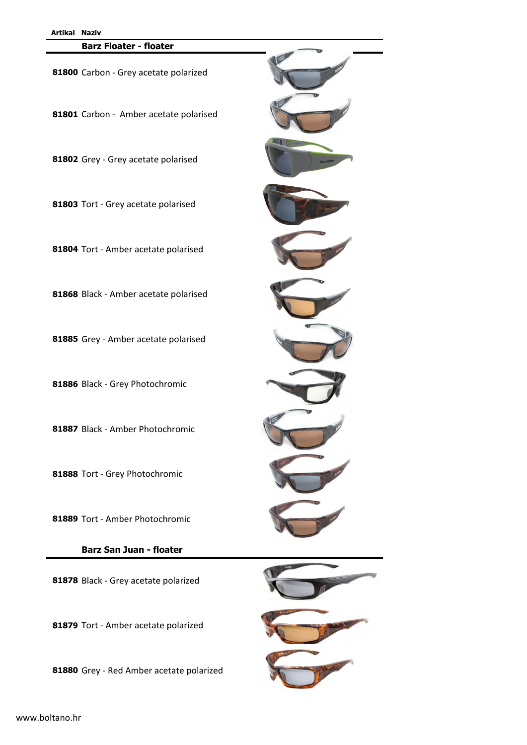### **Barz Floater - floater**

Carbon - Grey acetate polarized

Carbon - Amber acetate polarised

Grey - Grey acetate polarised

Tort - Grey acetate polarised

Tort - Amber acetate polarised

Black - Amber acetate polarised

Grey - Amber acetate polarised

Black - Grey Photochromic

Black - Amber Photochromic

Tort - Grey Photochromic

Tort - Amber Photochromic

**Barz San Juan - floater**

Black - Grey acetate polarized

Tort - Amber acetate polarized

Grey - Red Amber acetate polarized







www.boltano.hr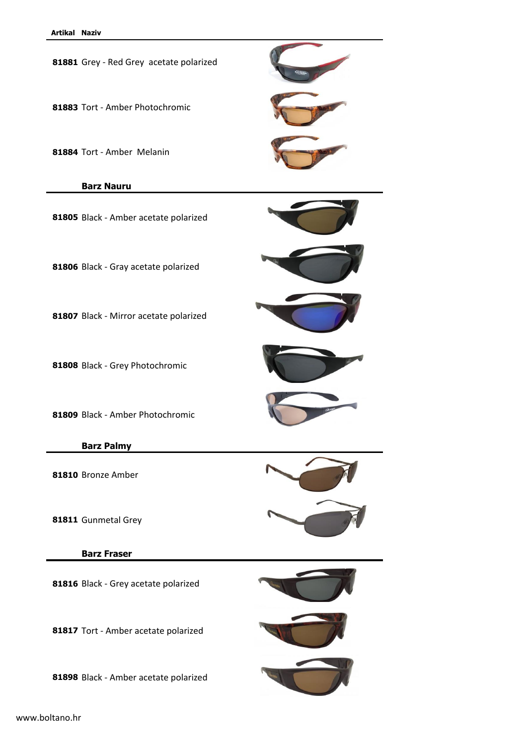

www.boltano.hr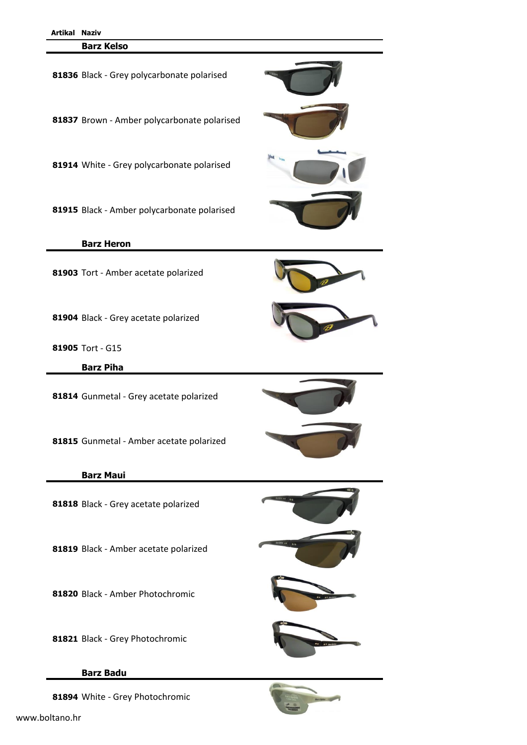#### **Barz Kelso**



# **Barz Badu**

White - Grey Photochromic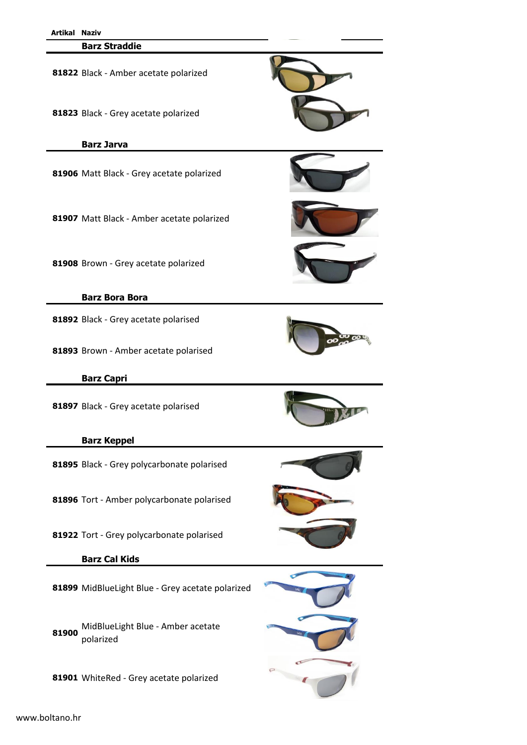| Artikal Naziv |                                                  |  |
|---------------|--------------------------------------------------|--|
|               | <b>Barz Straddie</b>                             |  |
|               | 81822 Black - Amber acetate polarized            |  |
|               | 81823 Black - Grey acetate polarized             |  |
|               | <b>Barz Jarva</b>                                |  |
|               |                                                  |  |
|               | 81906 Matt Black - Grey acetate polarized        |  |
|               | 81907 Matt Black - Amber acetate polarized       |  |
|               | 81908 Brown - Grey acetate polarized             |  |
|               | <b>Barz Bora Bora</b>                            |  |
|               | 81892 Black - Grey acetate polarised             |  |
|               | 81893 Brown - Amber acetate polarised            |  |
|               | <b>Barz Capri</b>                                |  |
|               | 81897 Black - Grey acetate polarised             |  |
|               | <b>Barz Keppel</b>                               |  |
|               | 81895 Black - Grey polycarbonate polarised       |  |
|               | 81896 Tort - Amber polycarbonate polarised       |  |
|               | 81922 Tort - Grey polycarbonate polarised        |  |
|               | <b>Barz Cal Kids</b>                             |  |
|               | 81899 MidBlueLight Blue - Grey acetate polarized |  |
| 81900         | MidBlueLight Blue - Amber acetate<br>polarized   |  |
|               | 81901 WhiteRed - Grey acetate polarized          |  |